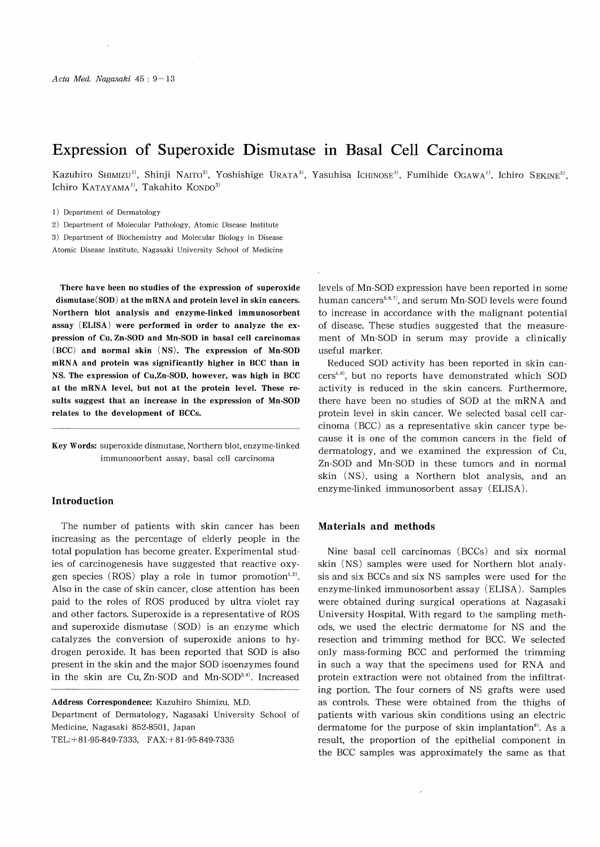# Expression of Superoxide Dismutase in Basal Cell Carcinoma

Kazuhiro SHIMIZU<sup>1)</sup>, Shinji NAITO<sup>2</sup>, Yoshishige URATA<sup>3)</sup>, Yasuhisa ICHINOSE<sup>1)</sup>, Fumihide OGAWA<sup>1)</sup>, Ichiro SEKINE<sup>2)</sup>, Ichiro KATAYAMA<sup>1)</sup>, Takahito KONDO<sup>3)</sup>

1) Department of Dermatology

2) Department of Molecular Pathology, Atomic Disease Institute

3) Department of Biochemistry and Molecular Biology in Disease

Atomic Disease Institute, Nagasaki University School of Medicine

There have been no studies of the expression of superoxide dismutase(SOD) at the mRNA and protein level in skin cancers. Northern blot analysis and enzyme-linked immunosorbent assay (ELISA) were performed in order to analyze the expression of Cu, Zn-SOD and Mn-SOD in basal cell carcinomas (BCC) and normal skin (NS). The expression of Mn-SOD mRNA and protein was significantly higher in BCC than in NS. The expression of Cu,Zn-SOD, however, was high in BCC at the mRNA level, but not at the protein level. These results suggest that an increase in the expression of Mn-SOD relates to the development of BCCs.

Key Words: superoxide dismutase, Northern blot, enzyme-linked immunosorbent assay, basal cell carcinoma

#### Introduction

The number of patients with skin cancer has been increasing as the percentage of elderly people in the total population has become greater. Experimental studies of carcinogenesis have suggested that reactive oxygen species (ROS) play a role in tumor promotion<sup>1,2)</sup>. Also in the case of skin cancer, close attention has been paid to the roles of ROS produced by ultra violet ray and other factors. Superoxide is a representative of ROS and superoxide dismutase (SOD) is an enzyme which catalyzes the conversion of superoxide anions to hydrogen peroxide. It has been reported that SOD is also present in the skin and the major SOD isoenzymes found in the skin are Cu, Zn-SOD and Mn-SOD<sup>3,4)</sup>. Increased

Address Correspondence: Kazuhiro Shimizu, M.D. Department of Dermatology, Nagasaki University School of Medicine, Nagasaki 852-8501, Japan TEL:+81-95-849-7333, FAX:+81-95-849-7335

levels of Mn-SOD expression have been reported in some human cancers<sup> $5,6,7$ </sup>, and serum Mn-SOD levels were found to increase in accordance with the malignant potential of disease. These studies suggested that the measurement of Mn-SOD in serum may provide a clinically useful marker.

Reduced SOD activity has been reported in skin cancers<sup>4,8)</sup>, but no reports have demonstrated which SOD activity is reduced in the skin cancers. Furthermore, there have been no studies of SOD at the mRNA and protein level in skin cancer. We selected basal cell carcinoma (BCC) as a representative skin cancer type because it is one of the common cancers in the field of dermatology, and we examined the expression of Cu, Zn-SOD and Mn-SOD in these tumors and in normal skin (NS), using a Northern blot analysis, and an enzyme-linked immunosorbent assay (ELISA).

# Materials and methods

Nine basal cell carcinomas (BCCs) and six normal skin (NS) samples were used for Northern blot analysis and six BCCs and six NS samples were used for the enzyme-linked immunosorbent assay (ELISA). Samples were obtained during surgical operations at Nagasaki University Hospital. With regard to the sampling methods, we used the electric dermatome for NS and the resection and trimming method for BCC. We selected only mass-forming BCC and performed the trimming in such a way that the specimens used for RNA and protein extraction were not obtained from the infiltrating portion. The four corners of NS grafts were used as controls. These were obtained from the thighs of patients with various skin conditions using an electric dermatome for the purpose of skin implantation<sup>9)</sup>. As a result, the proportion of the epithelial component in the BCC samples was approximately the same as that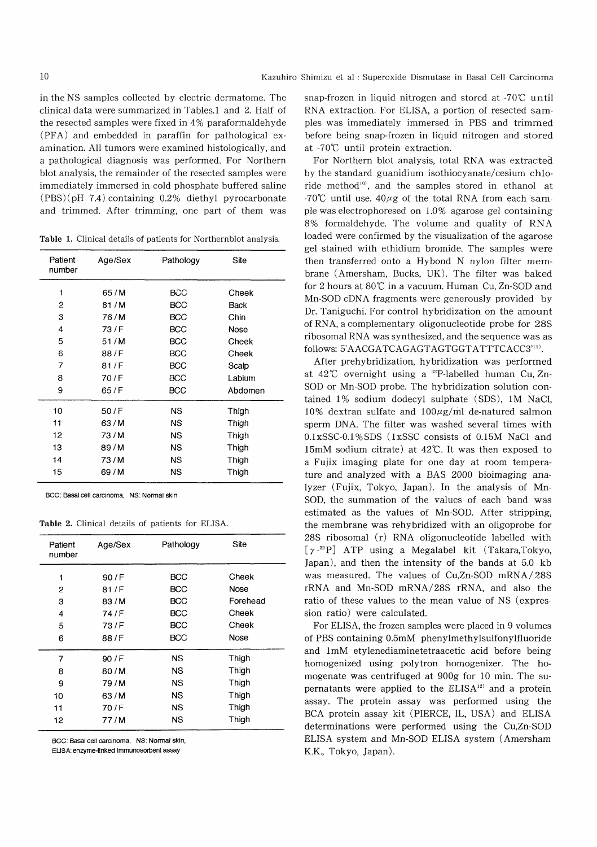in the NS samples collected by electric dermatome. The clinical data were summarized in Tables.1 and 2. Half of the resected samples were fixed in 4% paraformaldehyde (PFA) and embedded in paraffin for pathological examination. All tumors were examined histologically, and a pathological diagnosis was performed. For Northern blot analysis, the remainder of the resected samples were immediately immersed in cold phosphate buffered saline  $(PBS)(pH 7.4)$  containing 0.2% diethyl pyrocarbonate and trimmed. After trimming, one part of them was

Table 1. Clinical details of patients for Northernblot analysis.

| Patient<br>number | Age/Sex | Pathology  | Site    |
|-------------------|---------|------------|---------|
| 1                 | 65/M    | BCC        | Cheek   |
| 2                 | 81/M    | BCC        | Back    |
| 3                 | 76 / M  | BCC        | Chin    |
| 4                 | 73/F    | BCC        | Nose    |
| 5                 | 51/M    | <b>BCC</b> | Cheek   |
| 6                 | 88/F    | <b>BCC</b> | Cheek   |
| $\overline{7}$    | 81/F    | <b>BCC</b> | Scalp   |
| 8                 | 70 / F  | <b>BCC</b> | Labium  |
| 9                 | 65/F    | <b>BCC</b> | Abdomen |
| 10                | 50/F    | <b>NS</b>  | Thigh   |
| 11                | 63/M    | <b>NS</b>  | Thigh   |
| 12                | 73/M    | NS         | Thigh   |
| 13                | 89/M    | <b>NS</b>  | Thigh   |
| 14                | 73/M    | <b>NS</b>  | Thigh   |
| 15                | 69/M    | NS         | Thigh   |

BCC: Basal cell carcinoma, NS: Normal skin

Table 2. Clinical details of patients for ELISA.

| Patient<br>number | Age/Sex | Pathology  | Site     |
|-------------------|---------|------------|----------|
| 1                 | 90/F    | <b>BCC</b> | Cheek    |
| 2                 | 81/F    | BCC        | Nose     |
| 3                 | 83/M    | <b>BCC</b> | Forehead |
| 4                 | 74/F    | <b>BCC</b> | Cheek    |
| 5                 | 73/F    | <b>BCC</b> | Cheek    |
| 6                 | 88/F    | <b>BCC</b> | Nose     |
| 7                 | 90/F    | <b>NS</b>  | Thigh    |
| 8                 | 80/M    | ΝS         | Thigh    |
| 9                 | 79/M    | <b>NS</b>  | Thigh    |
| 10                | 63/M    | NS         | Thigh    |
| 11                | 70/F    | <b>NS</b>  | Thigh    |
| 12                | 77/M    | <b>NS</b>  | Thigh    |

BCC: Basal cell carcinoma, NS: Normal skin,

ELISA: enzyme-linked immunosorbent assay

snap-frozen in liquid nitrogen and stored at  $-70^{\circ}$ C until RNA extraction. For ELISA, a portion of resected samples was immediately immersed in PBS and trimmed before being snap-frozen in liquid nitrogen and stored at -70°C until protein extraction.

For Northern blot analysis, total RNA was extracted by the standard guanidium isothiocyanate/cesium chloride method<sup>10</sup>, and the samples stored in ethanol at -70°C until use.  $40\mu$ g of the total RNA from each sample was electrophoresed on 1.0% agarose gel containing 8% formaldehyde. The volume and quality of RNA loaded were confirmed by the visualization of the agarose gel stained with ethidium bromide. The samples were then transferred onto a Hybond N nylon filter membrane (Amersham, Bucks, UK). The filter was baked for 2 hours at 80°C in a vacuum. Human Cu, Zn-SOD and Mn-SOD cDNA fragments were generously provided by Dr. Taniguchi. For control hybridization on the amount of RNA, a complementary oligonucleotide probe for 28S ribosomal RNA was synthesized, and the sequence was as follows: 5'AACGATCAGAGTAGTGGTATTTCACC3'<sup>11)</sup>.

After prehybridization, hybridization was performed at  $42^{\circ}$  overnight using a <sup>32</sup>P-labelled human Cu, Zn-SOD or Mn-SOD probe. The hybridization solution contained 1% sodium dodecyl sulphate (SDS), 1M NaCl, 10% dextran sulfate and  $100\mu$ g/ml de-natured salmon sperm DNA. The filter was washed several times with 0.1 xSSC-0.1%SDS (1 xSSC consists of 0.15M NaCl and 15mM sodium citrate) at 42°C. It was then exposed to a Fujix imaging plate for one day at room temperature and analyzed with a BAS 2000 bioimaging analyzer (Fujix, Tokyo, Japan). In the analysis of Mn-SOD, the summation of the values of each band was estimated as the values of Mn-SOD. After stripping, the membrane was rehybridized with an oligoprobe for 28S ribosomal (r) RNA oligonucleotide labelled with [ y -32 P] ATP using a Megalabel kit (Takara,Tokyo, Japan), and then the intensity of the bands at 5.0 kb was measured. The values of Cu,Zn-SOD mRNA/ 28S rRNA and Mn-SOD mRNA/28S rRNA, and also the ratio of these values to the mean value of NS (expression ratio) were calculated.

For ELISA, the frozen samples were placed in 9 volumes of PBS containing 0.5mM phenylmethylsulfonylfluoride and 1mM etylenediaminetetraacetic acid before being homogenized using polytron homogenizer. The homogenate was centrifuged at 900g for 10 min. The supernatants were applied to the  $ELISA<sup>12</sup>$  and a protein assay. The protein assay was performed using the BCA protein assay kit (PIERCE, IL, USA) and ELISA determinations were performed using the Cu,Zn-SOD ELISA system and Mn-SOD ELISA system (Amersham K.K., Tokyo, Japan).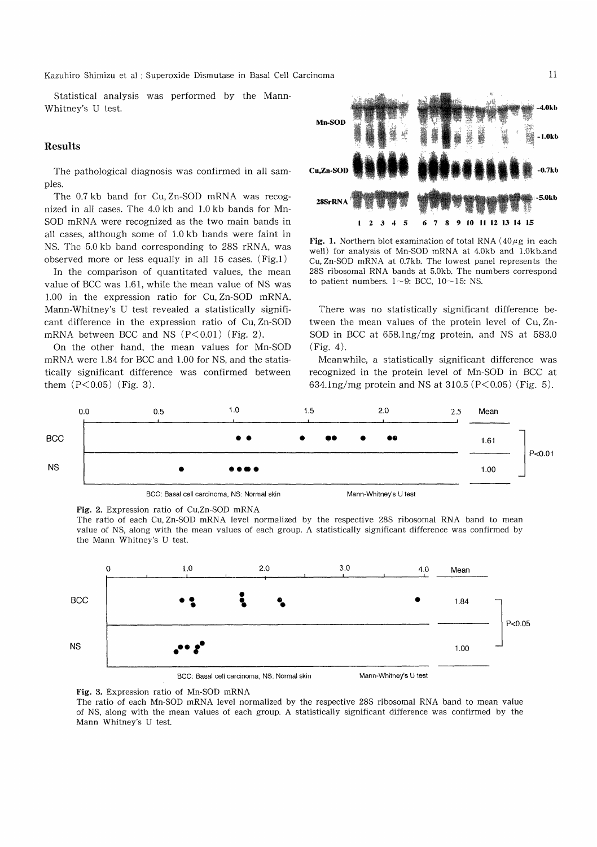Kazuhiro Shimizu et al : Superoxide Dismutase in Basal Cell Carcinoma

Statistical analysis was performed by the Mann-Whitney's U test.

### Results

The pathological diagnosis was confirmed in all samples.

The 0.7 kb band for Cu, Zn-SOD mRNA was recognized in all cases. The 4.0 kb and 1.0 kb bands for Mn-SOD mRNA were recognized as the two main bands in all cases, although some of 1.0 kb bands were faint in NS. The 5.0 kb band corresponding to 28S rRNA, was observed more or less equally in all 15 cases. (Fig.1)

In the comparison of quantitated values, the mean value of BCC was 1.61, while the mean value of NS was 1.00 in the expression ratio for Cu, Zn-SOD mRNA. Mann-Whitney's U test revealed a statistically significant difference in the expression ratio of Cu, Zn-SOD mRNA between BCC and NS  $(P<0.01)$  (Fig. 2).

On the other hand, the mean values for Mn-SOD mRNA were 1.84 for BCC and 1.00 for NS, and the statistically significant difference was confirmed between them  $(P<0.05)$  (Fig. 3).



Fig. 1. Northern blot examination of total RNA  $(40\mu$ g in each well) for analysis of Mn-SOD mRNA at 4.0kb and 1.Okb.and Cu, Zn-SOD mRNA at 0.7kb. The lowest panel represents the 28S ribosomal RNA bands at 5.0kb. The numbers correspond to patient numbers.  $1 \sim 9$ : BCC,  $10 \sim 15$ : NS.

There was no statistically significant difference between the mean values of the protein level of Cu, Zn-SOD in BCC at 658.1 ng/mg protein, and NS at 583.0 (Fig. 4).

Meanwhile, a statistically significant difference was recognized in the protein level of Mn-SOD in BCC at 634.1 ng/mg protein and NS at 310.5 ( $P < 0.05$ ) (Fig. 5).





The ratio of each Cu, Zn-SOD mRNA level normalized by the respective 28S ribosomal RNA band to mean value of NS, along with the mean values of each group. A statistically significant difference was confirmed by the Mann Whitney's U test.



BCC: Basal cell carcinoma. NS: Normal skin

Mann-Whitney's U test

Fig. 3. Expression ratio of Mn-SOD mRNA

The ratio of each Mn-SOD mRNA level normalized by the respective 28S ribosomal RNA band to mean value of NS, along with the mean values of each group. A statistically significant difference was confirmed by the Mann Whitney's U test.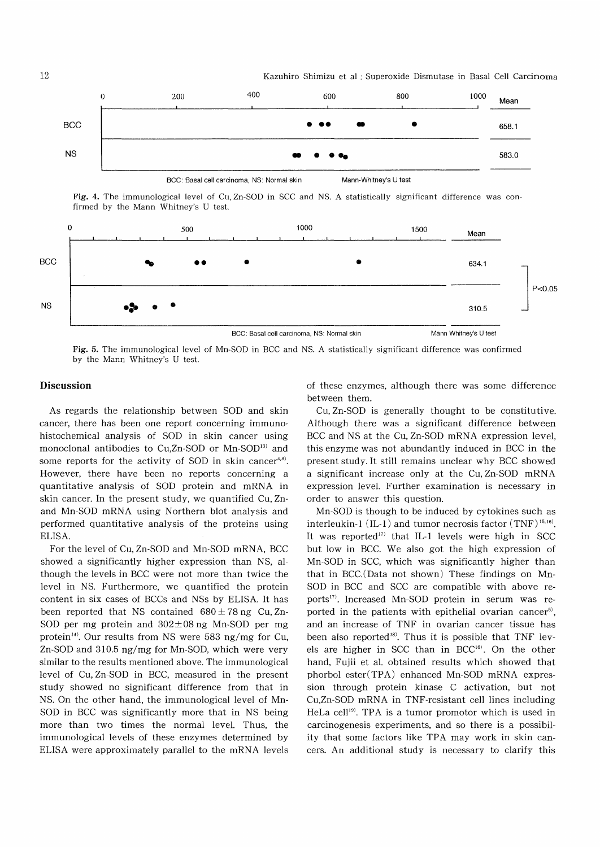

Fig. 4. The immunological level of Cu, Zn-SOD in SCC and NS. A statistically significant difference was confirmed by the Mann Whitney's U test.



Fig. 5. The immunological level of Mn-SOD in BCC and NS. A statistically significant difference was confirmed by the Mann Whitney's U test.

## Discussion

As regards the relationship between SOD and skin cancer, there has been one report concerning immunohistochemical analysis of SOD in skin cancer using monoclonal antibodies to Cu,Zn-SOD or Mn-SOD<sup>13)</sup> and some reports for the activity of SOD in skin cancer $4,8$ . However, there have been no reports concerning a quantitative analysis of SOD protein and mRNA in skin cancer. In the present study, we quantified Cu, Znand Mn-SOD mRNA using Northern blot analysis and performed quantitative analysis of the proteins using ELISA.

For the level of Cu, Zn-SOD and Mn-SOD mRNA, BCC showed a significantly higher expression than NS, although the levels in BCC were not more than twice the level in NS. Furthermore, we quantified the protein content in six cases of BCCs and NSs by ELISA. It has been reported that NS contained  $680 \pm 78$  ng Cu, Zn-SOD per mg protein and  $302 \pm 08$  ng Mn-SOD per mg protein<sup>14)</sup>. Our results from NS were 583 ng/mg for Cu, Zn-SOD and 310.5 ng/mg for Mn-SOD, which were very similar to the results mentioned above. The immunological level of Cu, Zn-SOD in BCC, measured in the present study showed no significant difference from that in NS. On the other hand, the immunological level of Mn-SOD in BCC was significantly more that in NS being more than two times the normal level. Thus, the immunological levels of these enzymes determined by ELISA were approximately parallel to the mRNA levels of these enzymes, although there was some difference between them.

Cu, Zn-SOD is generally thought to be constitutive. Although there was a significant difference between BCC and NS at the Cu, Zn-SOD mRNA expression level, this enzyme was not abundantly induced in BCC in the present study. It still remains unclear why BCC showed a significant increase only at the Cu, Zn-SOD mRNA expression level. Further examination is necessary in order to answer this question.

Mn-SOD is though to be induced by cytokines such as interleukin-1 (IL-1) and tumor necrosis factor  $(TNF)^{15,16}$ . It was reported") that IL-1 levels were high in SCC but low in BCC. We also got the high expression of Mn-SOD in SCC, which was significantly higher than that in BCC. (Data not shown) These findings on Mn-SOD in BCC and SCC are compatible with above reports"). Increased Mn-SOD protein in serum was reported in the patients with epithelial ovarian cancer<sup>5)</sup>, and an increase of TNF in ovarian cancer tissue has been also reported<sup>18)</sup>. Thus it is possible that TNF levels are higher in SCC than in BCC<sup>16)</sup>. On the other hand, Fujii et al. obtained results which showed that phorbol ester(TPA) enhanced Mn-SOD mRNA expression through protein kinase C activation, but not Cu,Zn-SOD mRNA in TNF-resistant cell lines including HeLa cell<sup>19)</sup>. TPA is a tumor promotor which is used in carcinogenesis experiments, and so there is a possibility that some factors like TPA may work in skin cancers. An additional study is necessary to clarify this